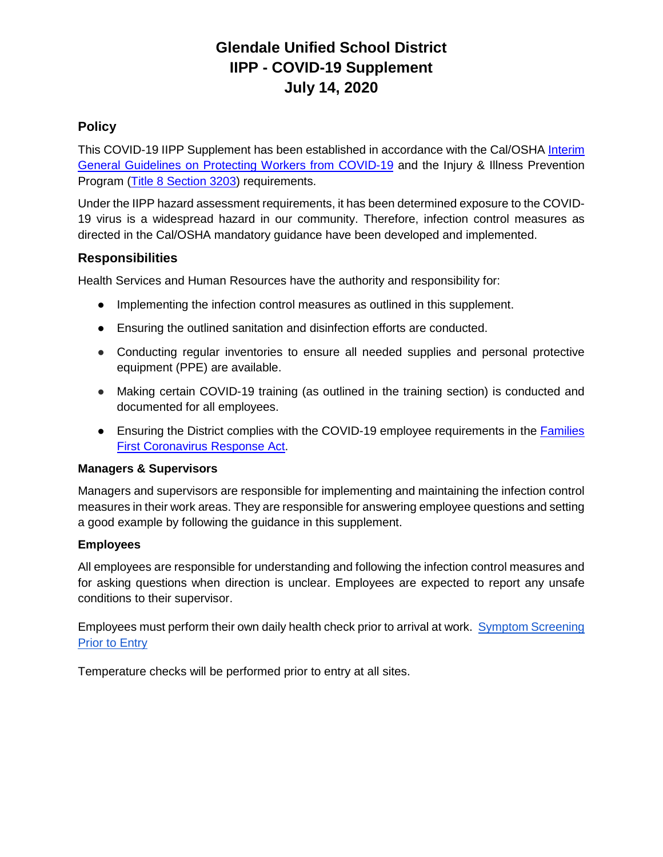# **Glendale Unified School District IIPP - COVID-19 Supplement July 14, 2020**

## **Policy**

This COVID-19 IIPP Supplement has been established in accordance with the Cal/OSHA [Interim](https://www.dir.ca.gov/dosh/coronavirus/General-Industry.html)  [General Guidelines on Protecting Workers from COVID-19](https://www.dir.ca.gov/dosh/coronavirus/General-Industry.html) and the Injury & Illness Prevention Program [\(Title 8 Section 3203\)](https://www.dir.ca.gov/title8/3203.html) requirements.

Under the IIPP hazard assessment requirements, it has been determined exposure to the COVID-19 virus is a widespread hazard in our community. Therefore, infection control measures as directed in the Cal/OSHA mandatory guidance have been developed and implemented.

#### **Responsibilities**

Health Services and Human Resources have the authority and responsibility for:

- Implementing the infection control measures as outlined in this supplement.
- Ensuring the outlined sanitation and disinfection efforts are conducted.
- Conducting regular inventories to ensure all needed supplies and personal protective equipment (PPE) are available.
- Making certain COVID-19 training (as outlined in the training section) is conducted and documented for all employees.
- Ensuring the District complies with the COVID-19 employee requirements in the Families [First Coronavirus Response Act.](https://www.dol.gov/agencies/whd/pandemic/ffcra-employee-paid-leave)

#### **Managers & Supervisors**

Managers and supervisors are responsible for implementing and maintaining the infection control measures in their work areas. They are responsible for answering employee questions and setting a good example by following the guidance in this supplement.

#### **Employees**

All employees are responsible for understanding and following the infection control measures and for asking questions when direction is unclear. Employees are expected to report any unsafe conditions to their supervisor.

Employees must perform their own daily health check prior to arrival at work. [Symptom Screening](https://www.gusd.net/cms/lib/CA01000648/Centricity/Domain/50/COVID-entrance-screening-Member-v2.pdf)  [Prior to Entry](https://www.gusd.net/cms/lib/CA01000648/Centricity/Domain/50/COVID-entrance-screening-Member-v2.pdf)

Temperature checks will be performed prior to entry at all sites.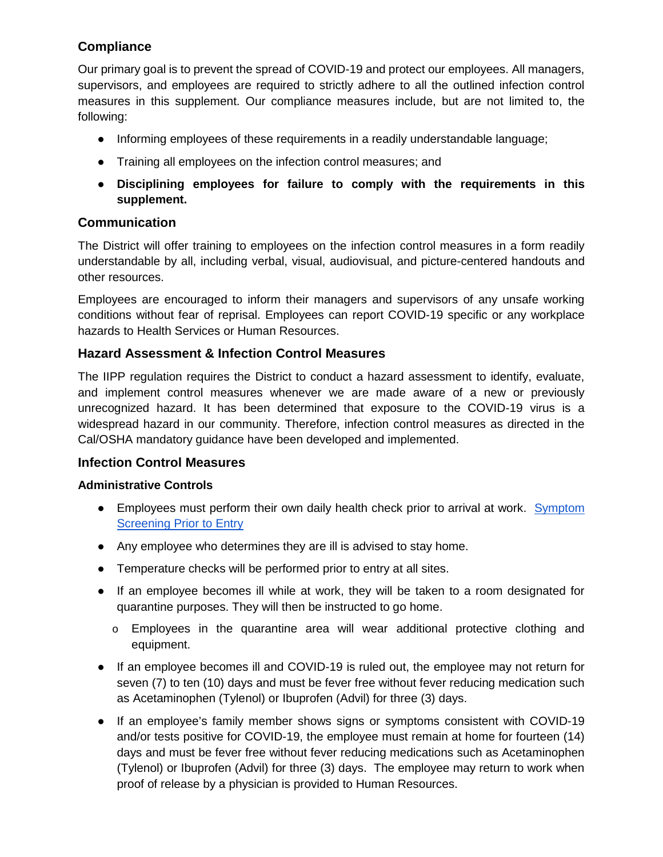## **Compliance**

Our primary goal is to prevent the spread of COVID-19 and protect our employees. All managers, supervisors, and employees are required to strictly adhere to all the outlined infection control measures in this supplement. Our compliance measures include, but are not limited to, the following:

- Informing employees of these requirements in a readily understandable language;
- Training all employees on the infection control measures; and
- **Disciplining employees for failure to comply with the requirements in this supplement.**

## **Communication**

The District will offer training to employees on the infection control measures in a form readily understandable by all, including verbal, visual, audiovisual, and picture-centered handouts and other resources.

Employees are encouraged to inform their managers and supervisors of any unsafe working conditions without fear of reprisal. Employees can report COVID-19 specific or any workplace hazards to Health Services or Human Resources.

#### **Hazard Assessment & Infection Control Measures**

The IIPP regulation requires the District to conduct a hazard assessment to identify, evaluate, and implement control measures whenever we are made aware of a new or previously unrecognized hazard. It has been determined that exposure to the COVID-19 virus is a widespread hazard in our community. Therefore, infection control measures as directed in the Cal/OSHA mandatory guidance have been developed and implemented.

#### **Infection Control Measures**

#### **Administrative Controls**

- Employees must perform their own daily health check prior to arrival at work. Symptom [Screening Prior to Entry](https://www.gusd.net/cms/lib/CA01000648/Centricity/Domain/50/COVID-entrance-screening-Member-v2.pdf)
- Any employee who determines they are ill is advised to stay home.
- Temperature checks will be performed prior to entry at all sites.
- If an employee becomes ill while at work, they will be taken to a room designated for quarantine purposes. They will then be instructed to go home.
	- o Employees in the quarantine area will wear additional protective clothing and equipment.
- If an employee becomes ill and COVID-19 is ruled out, the employee may not return for seven (7) to ten (10) days and must be fever free without fever reducing medication such as Acetaminophen (Tylenol) or Ibuprofen (Advil) for three (3) days.
- If an employee's family member shows signs or symptoms consistent with COVID-19 and/or tests positive for COVID-19, the employee must remain at home for fourteen (14) days and must be fever free without fever reducing medications such as Acetaminophen (Tylenol) or Ibuprofen (Advil) for three (3) days. The employee may return to work when proof of release by a physician is provided to Human Resources.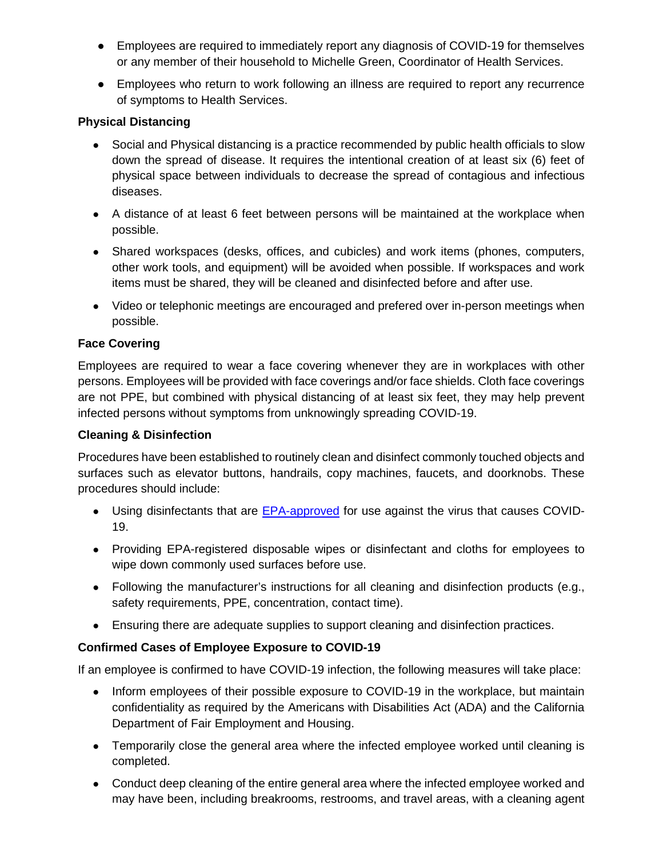- Employees are required to immediately report any diagnosis of COVID-19 for themselves or any member of their household to Michelle Green, Coordinator of Health Services.
- Employees who return to work following an illness are required to report any recurrence of symptoms to Health Services.

#### **Physical Distancing**

- Social and Physical distancing is a practice recommended by public health officials to slow down the spread of disease. It requires the intentional creation of at least six (6) feet of physical space between individuals to decrease the spread of contagious and infectious diseases.
- A distance of at least 6 feet between persons will be maintained at the workplace when possible.
- Shared workspaces (desks, offices, and cubicles) and work items (phones, computers, other work tools, and equipment) will be avoided when possible. If workspaces and work items must be shared, they will be cleaned and disinfected before and after use.
- Video or telephonic meetings are encouraged and prefered over in-person meetings when possible.

#### **Face Covering**

Employees are required to wear a face covering whenever they are in workplaces with other persons. Employees will be provided with face coverings and/or face shields. Cloth face coverings are not PPE, but combined with physical distancing of at least six feet, they may help prevent infected persons without symptoms from unknowingly spreading COVID-19.

#### **Cleaning & Disinfection**

Procedures have been established to routinely clean and disinfect commonly touched objects and surfaces such as elevator buttons, handrails, copy machines, faucets, and doorknobs. These procedures should include:

- Using disinfectants that are [EPA-approved](https://www.epa.gov/pesticide-registration/list-n-disinfectants-use-against-sars-cov-2) for use against the virus that causes COVID-19.
- Providing EPA-registered disposable wipes or disinfectant and cloths for employees to wipe down commonly used surfaces before use.
- Following the manufacturer's instructions for all cleaning and disinfection products (e.g., safety requirements, PPE, concentration, contact time).
- Ensuring there are adequate supplies to support cleaning and disinfection practices.

## **Confirmed Cases of Employee Exposure to COVID-19**

If an employee is confirmed to have COVID-19 infection, the following measures will take place:

- Inform employees of their possible exposure to COVID-19 in the workplace, but maintain confidentiality as required by the Americans with Disabilities Act (ADA) and the California Department of Fair Employment and Housing.
- Temporarily close the general area where the infected employee worked until cleaning is completed.
- Conduct deep cleaning of the entire general area where the infected employee worked and may have been, including breakrooms, restrooms, and travel areas, with a cleaning agent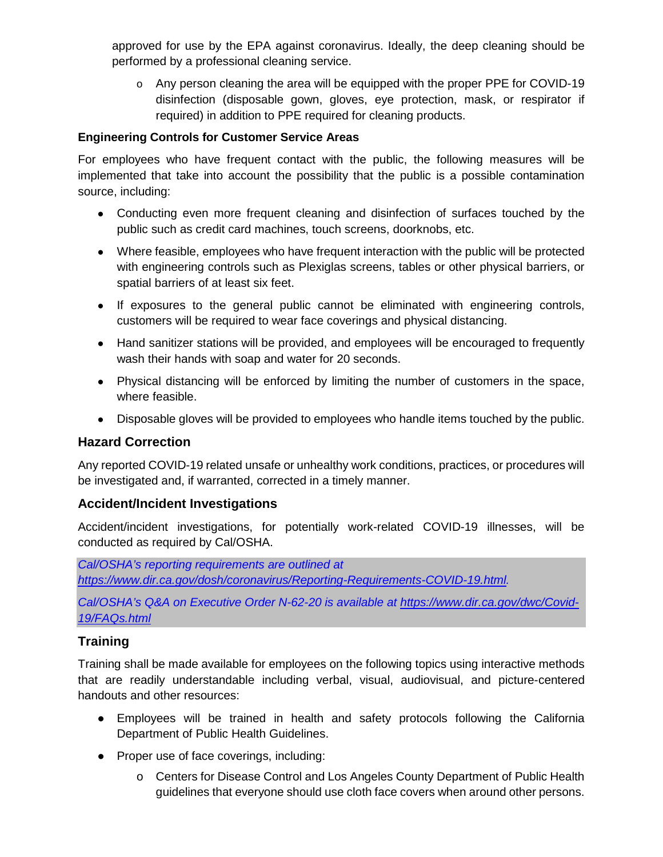approved for use by the EPA against coronavirus. Ideally, the deep cleaning should be performed by a professional cleaning service.

o Any person cleaning the area will be equipped with the proper PPE for COVID-19 disinfection (disposable gown, gloves, eye protection, mask, or respirator if required) in addition to PPE required for cleaning products.

#### **Engineering Controls for Customer Service Areas**

For employees who have frequent contact with the public, the following measures will be implemented that take into account the possibility that the public is a possible contamination source, including:

- Conducting even more frequent cleaning and disinfection of surfaces touched by the public such as credit card machines, touch screens, doorknobs, etc.
- Where feasible, employees who have frequent interaction with the public will be protected with engineering controls such as Plexiglas screens, tables or other physical barriers, or spatial barriers of at least six feet.
- If exposures to the general public cannot be eliminated with engineering controls, customers will be required to wear face coverings and physical distancing.
- Hand sanitizer stations will be provided, and employees will be encouraged to frequently wash their hands with soap and water for 20 seconds.
- Physical distancing will be enforced by limiting the number of customers in the space, where feasible.
- Disposable gloves will be provided to employees who handle items touched by the public.

#### **Hazard Correction**

Any reported COVID-19 related unsafe or unhealthy work conditions, practices, or procedures will be investigated and, if warranted, corrected in a timely manner.

#### **Accident/Incident Investigations**

Accident/incident investigations, for potentially work-related COVID-19 illnesses, will be conducted as required by Cal/OSHA.

*Cal/OSHA's reporting requirements are outlined at [https://www.dir.ca.gov/dosh/coronavirus/Reporting-Requirements-COVID-19.html.](https://www.dir.ca.gov/dosh/coronavirus/Reporting-Requirements-COVID-19.html)* 

*Cal/OSHA's Q&A on Executive Order N-62-20 is available at [https://www.dir.ca.gov/dwc/Covid-](https://www.dir.ca.gov/dwc/Covid-19/FAQs.html)[19/FAQs.html](https://www.dir.ca.gov/dwc/Covid-19/FAQs.html)*

## **Training**

Training shall be made available for employees on the following topics using interactive methods that are readily understandable including verbal, visual, audiovisual, and picture-centered handouts and other resources:

- Employees will be trained in health and safety protocols following the California Department of Public Health Guidelines.
- Proper use of face coverings, including:
	- o Centers for Disease Control and Los Angeles County Department of Public Health guidelines that everyone should use cloth face covers when around other persons.